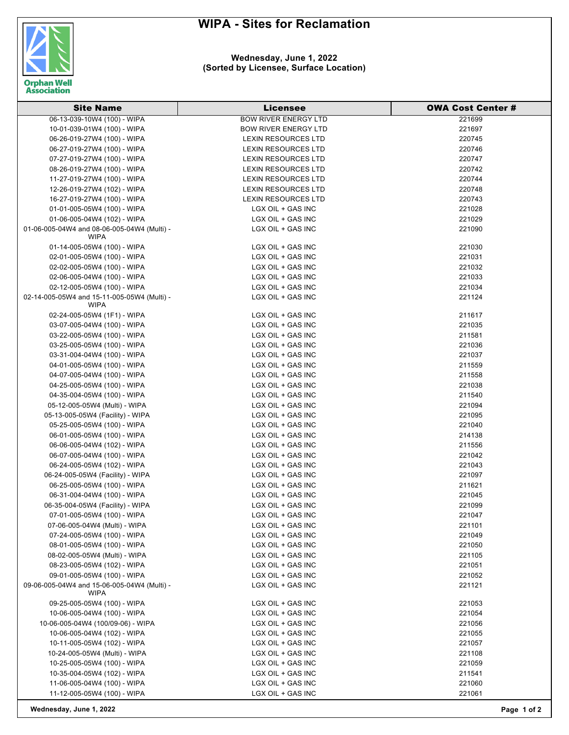## **WIPA - Sites for Reclamation**



## **Wednesday, June 1, 2022 (Sorted by Licensee, Surface Location)**

| <b>Site Name</b>                            | <b>Licensee</b>             | <b>OWA Cost Center #</b> |
|---------------------------------------------|-----------------------------|--------------------------|
| 06-13-039-10W4 (100) - WIPA                 | <b>BOW RIVER ENERGY LTD</b> | 221699                   |
| 10-01-039-01W4 (100) - WIPA                 | <b>BOW RIVER ENERGY LTD</b> | 221697                   |
| 06-26-019-27W4 (100) - WIPA                 | <b>LEXIN RESOURCES LTD</b>  | 220745                   |
| 06-27-019-27W4 (100) - WIPA                 | LEXIN RESOURCES LTD         | 220746                   |
| 07-27-019-27W4 (100) - WIPA                 | <b>LEXIN RESOURCES LTD</b>  | 220747                   |
| 08-26-019-27W4 (100) - WIPA                 | <b>LEXIN RESOURCES LTD</b>  | 220742                   |
| 11-27-019-27W4 (100) - WIPA                 | <b>LEXIN RESOURCES LTD</b>  | 220744                   |
| 12-26-019-27W4 (102) - WIPA                 | <b>LEXIN RESOURCES LTD</b>  | 220748                   |
| 16-27-019-27W4 (100) - WIPA                 | <b>LEXIN RESOURCES LTD</b>  | 220743                   |
| 01-01-005-05W4 (100) - WIPA                 | LGX OIL + GAS INC           | 221028                   |
| 01-06-005-04W4 (102) - WIPA                 | LGX OIL + GAS INC           | 221029                   |
| 01-06-005-04W4 and 08-06-005-04W4 (Multi) - | LGX OIL + GAS INC           | 221090                   |
| <b>WIPA</b>                                 |                             |                          |
| 01-14-005-05W4 (100) - WIPA                 | LGX OIL + GAS INC           | 221030                   |
| 02-01-005-05W4 (100) - WIPA                 | LGX OIL + GAS INC           | 221031                   |
| 02-02-005-05W4 (100) - WIPA                 | LGX OIL + GAS INC           | 221032                   |
| 02-06-005-04W4 (100) - WIPA                 | LGX OIL + GAS INC           | 221033                   |
| 02-12-005-05W4 (100) - WIPA                 | LGX OIL + GAS INC           | 221034                   |
| 02-14-005-05W4 and 15-11-005-05W4 (Multi) - | LGX OIL + GAS INC           | 221124                   |
| <b>WIPA</b>                                 |                             |                          |
| 02-24-005-05W4 (1F1) - WIPA                 | LGX OIL + GAS INC           | 211617                   |
| 03-07-005-04W4 (100) - WIPA                 | LGX OIL + GAS INC           | 221035                   |
| 03-22-005-05W4 (100) - WIPA                 | LGX OIL + GAS INC           | 211581                   |
| 03-25-005-05W4 (100) - WIPA                 | LGX OIL + GAS INC           | 221036                   |
| 03-31-004-04W4 (100) - WIPA                 | LGX OIL + GAS INC           | 221037                   |
| 04-01-005-05W4 (100) - WIPA                 | LGX OIL + GAS INC           | 211559                   |
| 04-07-005-04W4 (100) - WIPA                 | LGX OIL + GAS INC           | 211558                   |
| 04-25-005-05W4 (100) - WIPA                 | LGX OIL + GAS INC           | 221038                   |
| 04-35-004-05W4 (100) - WIPA                 | LGX OIL + GAS INC           | 211540                   |
| 05-12-005-05W4 (Multi) - WIPA               | LGX OIL + GAS INC           | 221094                   |
| 05-13-005-05W4 (Facility) - WIPA            | LGX OIL + GAS INC           | 221095                   |
| 05-25-005-05W4 (100) - WIPA                 | LGX OIL + GAS INC           | 221040                   |
| 06-01-005-05W4 (100) - WIPA                 | LGX OIL + GAS INC           | 214138                   |
| 06-06-005-04W4 (102) - WIPA                 | LGX OIL + GAS INC           | 211556                   |
| 06-07-005-04W4 (100) - WIPA                 | LGX OIL + GAS INC           | 221042                   |
| 06-24-005-05W4 (102) - WIPA                 | LGX OIL + GAS INC           | 221043                   |
| 06-24-005-05W4 (Facility) - WIPA            | LGX OIL + GAS INC           | 221097                   |
| 06-25-005-05W4 (100) - WIPA                 | LGX OIL + GAS INC           | 211621                   |
| 06-31-004-04W4 (100) - WIPA                 | LGX OIL + GAS INC           | 221045                   |
| 06-35-004-05W4 (Facility) - WIPA            | LGX OIL + GAS INC           | 221099                   |
| 07-01-005-05W4 (100) - WIPA                 | LGX OIL + GAS INC           | 221047                   |
| 07-06-005-04W4 (Multi) - WIPA               | LGX OIL + GAS INC           | 221101                   |
| 07-24-005-05W4 (100) - WIPA                 | LGX OIL + GAS INC           | 221049                   |
| 08-01-005-05W4 (100) - WIPA                 | LGX OIL + GAS INC           | 221050                   |
| 08-02-005-05W4 (Multi) - WIPA               | LGX OIL + GAS INC           | 221105                   |
| 08-23-005-05W4 (102) - WIPA                 | LGX OIL + GAS INC           | 221051                   |
| 09-01-005-05W4 (100) - WIPA                 | LGX OIL + GAS INC           | 221052                   |
| 09-06-005-04W4 and 15-06-005-04W4 (Multi) - | LGX OIL + GAS INC           | 221121                   |
| WIPA                                        |                             |                          |
| 09-25-005-05W4 (100) - WIPA                 | LGX OIL + GAS INC           | 221053                   |
| 10-06-005-04W4 (100) - WIPA                 | LGX OIL + GAS INC           | 221054                   |
| 10-06-005-04W4 (100/09-06) - WIPA           | LGX OIL + GAS INC           | 221056                   |
| 10-06-005-04W4 (102) - WIPA                 | LGX OIL + GAS INC           | 221055                   |
| 10-11-005-05W4 (102) - WIPA                 | LGX OIL + GAS INC           | 221057                   |
| 10-24-005-05W4 (Multi) - WIPA               | LGX OIL + GAS INC           | 221108                   |
| 10-25-005-05W4 (100) - WIPA                 | LGX OIL + GAS INC           | 221059                   |
| 10-35-004-05W4 (102) - WIPA                 | LGX OIL + GAS INC           | 211541                   |
| 11-06-005-04W4 (100) - WIPA                 | LGX OIL + GAS INC           | 221060                   |
| 11-12-005-05W4 (100) - WIPA                 | LGX OIL + GAS INC           | 221061                   |

**Wednesday, June 1, 2022 Page 1 of 2**